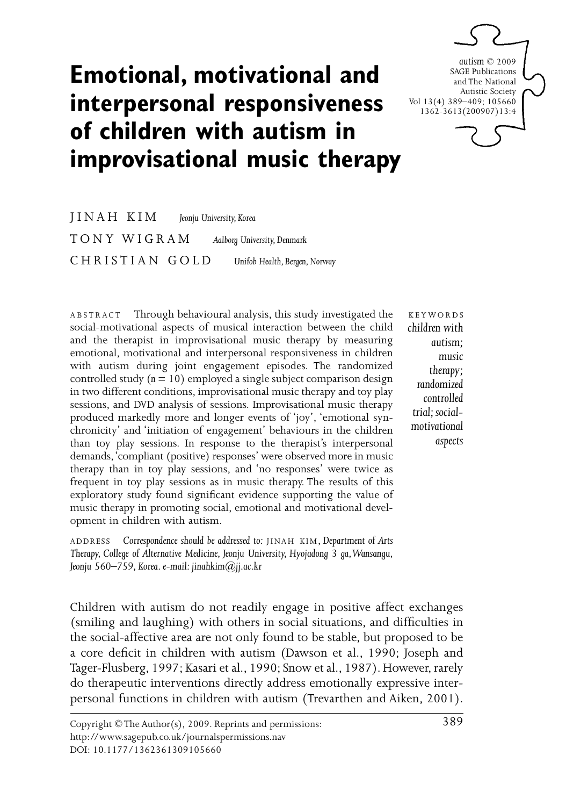# **Emotional, motivational and interpersonal responsiveness of children with autism in improvisational music therapy**

JINAH KIM *Jeonju University, Korea* TONY WIGRAM *Aalborg University, Denmark* CHRISTIAN GOLD *Unifob Health, Bergen, Norway*

ABSTRACT Through behavioural analysis, this study investigated the social-motivational aspects of musical interaction between the child and the therapist in improvisational music therapy by measuring emotional, motivational and interpersonal responsiveness in children with autism during joint engagement episodes. The randomized controlled study (*n* = 10) employed a single subject comparison design in two different conditions, improvisational music therapy and toy play sessions, and DVD analysis of sessions. Improvisational music therapy produced markedly more and longer events of 'joy', 'emotional synchronicity' and 'initiation of engagement' behaviours in the children than toy play sessions. In response to the therapist's interpersonal demands,'compliant (positive) responses' were observed more in music therapy than in toy play sessions, and 'no responses' were twice as frequent in toy play sessions as in music therapy. The results of this exploratory study found significant evidence supporting the value of music therapy in promoting social, emotional and motivational development in children with autism.

ADDRESS *Correspondence should be addressed to:* JINAH KIM *, Department of Arts Therapy, College of Alternative Medicine, Jeonju University, Hyojadong 3 ga,Wansangu, Jeonju 560–759, Korea. e-mail: jinahkim@jj.ac.kr*

KEYWORDS *children with autism; music therapy; randomized controlled trial; socialmotivational aspects*

Children with autism do not readily engage in positive affect exchanges (smiling and laughing) with others in social situations, and difficulties in the social-affective area are not only found to be stable, but proposed to be a core deficit in children with autism (Dawson et al., 1990; Joseph and Tager-Flusberg, 1997; Kasari et al., 1990; Snow et al., 1987). However, rarely do therapeutic interventions directly address emotionally expressive interpersonal functions in children with autism (Trevarthen and Aiken, 2001).

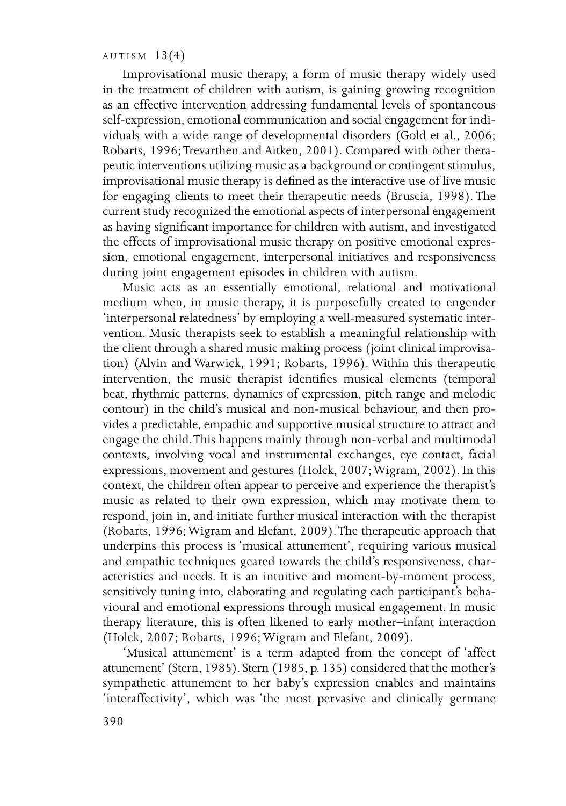Improvisational music therapy, a form of music therapy widely used in the treatment of children with autism, is gaining growing recognition as an effective intervention addressing fundamental levels of spontaneous self-expression, emotional communication and social engagement for individuals with a wide range of developmental disorders (Gold et al., 2006; Robarts, 1996;Trevarthen and Aitken, 2001). Compared with other therapeutic interventions utilizing music as a background or contingent stimulus, improvisational music therapy is defined as the interactive use of live music for engaging clients to meet their therapeutic needs (Bruscia, 1998). The current study recognized the emotional aspects of interpersonal engagement as having significant importance for children with autism, and investigated the effects of improvisational music therapy on positive emotional expression, emotional engagement, interpersonal initiatives and responsiveness during joint engagement episodes in children with autism.

Music acts as an essentially emotional, relational and motivational medium when, in music therapy, it is purposefully created to engender 'interpersonal relatedness' by employing a well-measured systematic intervention. Music therapists seek to establish a meaningful relationship with the client through a shared music making process (joint clinical improvisation) (Alvin and Warwick, 1991; Robarts, 1996). Within this therapeutic intervention, the music therapist identifies musical elements (temporal beat, rhythmic patterns, dynamics of expression, pitch range and melodic contour) in the child's musical and non-musical behaviour, and then provides a predictable, empathic and supportive musical structure to attract and engage the child.This happens mainly through non-verbal and multimodal contexts, involving vocal and instrumental exchanges, eye contact, facial expressions, movement and gestures (Holck, 2007;Wigram, 2002). In this context, the children often appear to perceive and experience the therapist's music as related to their own expression, which may motivate them to respond, join in, and initiate further musical interaction with the therapist (Robarts, 1996;Wigram and Elefant, 2009).The therapeutic approach that underpins this process is 'musical attunement', requiring various musical and empathic techniques geared towards the child's responsiveness, characteristics and needs. It is an intuitive and moment-by-moment process, sensitively tuning into, elaborating and regulating each participant's behavioural and emotional expressions through musical engagement. In music therapy literature, this is often likened to early mother–infant interaction (Holck, 2007; Robarts, 1996; Wigram and Elefant, 2009).

'Musical attunement' is a term adapted from the concept of 'affect attunement' (Stern, 1985). Stern (1985, p. 135) considered that the mother's sympathetic attunement to her baby's expression enables and maintains 'interaffectivity', which was 'the most pervasive and clinically germane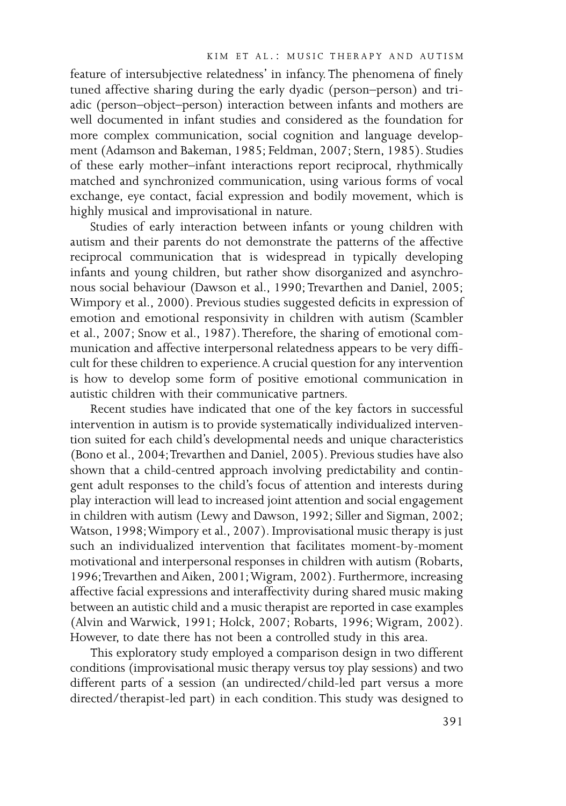feature of intersubjective relatedness' in infancy. The phenomena of finely tuned affective sharing during the early dyadic (person–person) and triadic (person–object–person) interaction between infants and mothers are well documented in infant studies and considered as the foundation for more complex communication, social cognition and language development (Adamson and Bakeman, 1985; Feldman, 2007; Stern, 1985). Studies of these early mother–infant interactions report reciprocal, rhythmically matched and synchronized communication, using various forms of vocal exchange, eye contact, facial expression and bodily movement, which is highly musical and improvisational in nature.

Studies of early interaction between infants or young children with autism and their parents do not demonstrate the patterns of the affective reciprocal communication that is widespread in typically developing infants and young children, but rather show disorganized and asynchronous social behaviour (Dawson et al., 1990; Trevarthen and Daniel, 2005; Wimpory et al., 2000). Previous studies suggested deficits in expression of emotion and emotional responsivity in children with autism (Scambler et al., 2007; Snow et al., 1987).Therefore, the sharing of emotional communication and affective interpersonal relatedness appears to be very difficult for these children to experience.A crucial question for any intervention is how to develop some form of positive emotional communication in autistic children with their communicative partners.

Recent studies have indicated that one of the key factors in successful intervention in autism is to provide systematically individualized intervention suited for each child's developmental needs and unique characteristics (Bono et al., 2004;Trevarthen and Daniel, 2005). Previous studies have also shown that a child-centred approach involving predictability and contingent adult responses to the child's focus of attention and interests during play interaction will lead to increased joint attention and social engagement in children with autism (Lewy and Dawson, 1992; Siller and Sigman, 2002; Watson, 1998;Wimpory et al., 2007). Improvisational music therapy is just such an individualized intervention that facilitates moment-by-moment motivational and interpersonal responses in children with autism (Robarts, 1996;Trevarthen and Aiken, 2001;Wigram, 2002). Furthermore, increasing affective facial expressions and interaffectivity during shared music making between an autistic child and a music therapist are reported in case examples (Alvin and Warwick, 1991; Holck, 2007; Robarts, 1996; Wigram, 2002). However, to date there has not been a controlled study in this area.

This exploratory study employed a comparison design in two different conditions (improvisational music therapy versus toy play sessions) and two different parts of a session (an undirected/child-led part versus a more directed/therapist-led part) in each condition. This study was designed to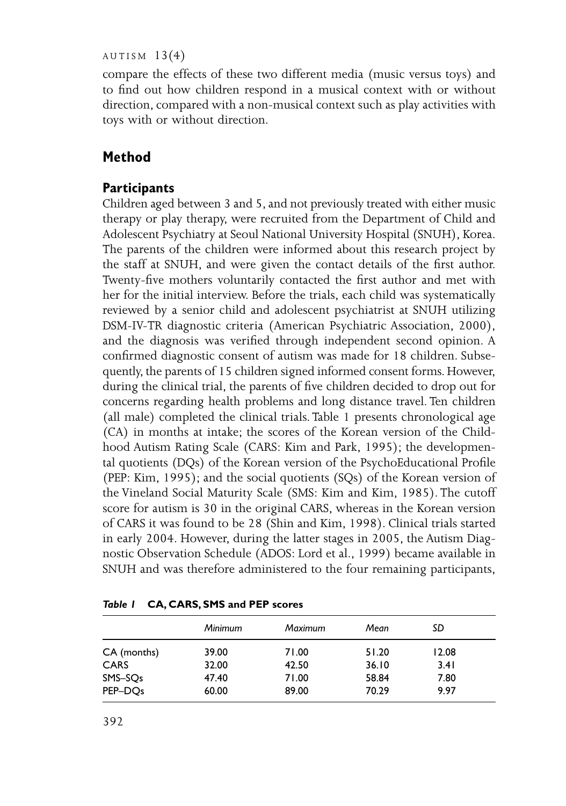compare the effects of these two different media (music versus toys) and to find out how children respond in a musical context with or without direction, compared with a non-musical context such as play activities with toys with or without direction.

# **Method**

# **Participants**

Children aged between 3 and 5, and not previously treated with either music therapy or play therapy, were recruited from the Department of Child and Adolescent Psychiatry at Seoul National University Hospital (SNUH), Korea. The parents of the children were informed about this research project by the staff at SNUH, and were given the contact details of the first author. Twenty-five mothers voluntarily contacted the first author and met with her for the initial interview. Before the trials, each child was systematically reviewed by a senior child and adolescent psychiatrist at SNUH utilizing DSM-IV-TR diagnostic criteria (American Psychiatric Association, 2000), and the diagnosis was verified through independent second opinion. A confirmed diagnostic consent of autism was made for 18 children. Subsequently, the parents of 15 children signed informed consent forms. However, during the clinical trial, the parents of five children decided to drop out for concerns regarding health problems and long distance travel. Ten children (all male) completed the clinical trials. Table 1 presents chronological age (CA) in months at intake; the scores of the Korean version of the Childhood Autism Rating Scale (CARS: Kim and Park, 1995); the developmental quotients (DQs) of the Korean version of the PsychoEducational Profile (PEP: Kim, 1995); and the social quotients (SQs) of the Korean version of the Vineland Social Maturity Scale (SMS: Kim and Kim, 1985). The cutoff score for autism is 30 in the original CARS, whereas in the Korean version of CARS it was found to be 28 (Shin and Kim, 1998). Clinical trials started in early 2004. However, during the latter stages in 2005, the Autism Diagnostic Observation Schedule (ADOS: Lord et al., 1999) became available in SNUH and was therefore administered to the four remaining participants,

|                     | Minimum | Maximum | Mean  | SD    |
|---------------------|---------|---------|-------|-------|
| CA (months)         | 39.00   | 71.00   | 51.20 | 12.08 |
| CARS                | 32.00   | 42.50   | 36.10 | 3.41  |
| SMS-SO <sub>s</sub> | 47.40   | 71.00   | 58.84 | 7.80  |
| PEP-DO <sub>s</sub> | 60.00   | 89.00   | 70.29 | 9.97  |

*Table 1* **CA, CARS, SMS and PEP scores**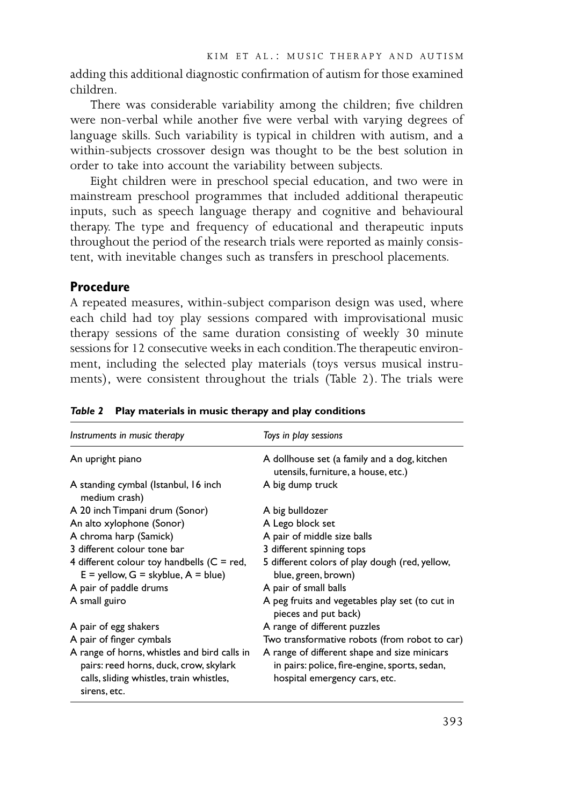adding this additional diagnostic confirmation of autism for those examined children.

There was considerable variability among the children; five children were non-verbal while another five were verbal with varying degrees of language skills. Such variability is typical in children with autism, and a within-subjects crossover design was thought to be the best solution in order to take into account the variability between subjects.

Eight children were in preschool special education, and two were in mainstream preschool programmes that included additional therapeutic inputs, such as speech language therapy and cognitive and behavioural therapy. The type and frequency of educational and therapeutic inputs throughout the period of the research trials were reported as mainly consistent, with inevitable changes such as transfers in preschool placements.

# **Procedure**

A repeated measures, within-subject comparison design was used, where each child had toy play sessions compared with improvisational music therapy sessions of the same duration consisting of weekly 30 minute sessions for 12 consecutive weeks in each condition.The therapeutic environment, including the selected play materials (toys versus musical instruments), were consistent throughout the trials (Table 2). The trials were

| Instruments in music therapy                                                                                                                       | Toys in play sessions                                                                                                          |
|----------------------------------------------------------------------------------------------------------------------------------------------------|--------------------------------------------------------------------------------------------------------------------------------|
| An upright piano                                                                                                                                   | A dollhouse set (a family and a dog, kitchen<br>utensils, furniture, a house, etc.)                                            |
| A standing cymbal (Istanbul, 16 inch<br>medium crash)                                                                                              | A big dump truck                                                                                                               |
| A 20 inch Timpani drum (Sonor)                                                                                                                     | A big bulldozer                                                                                                                |
| An alto xylophone (Sonor)                                                                                                                          | A Lego block set                                                                                                               |
| A chroma harp (Samick)                                                                                                                             | A pair of middle size balls                                                                                                    |
| 3 different colour tone bar                                                                                                                        | 3 different spinning tops                                                                                                      |
| 4 different colour toy handbells $(C = red,$<br>$E =$ yellow, $G =$ skyblue, $A =$ blue)                                                           | 5 different colors of play dough (red, yellow,<br>blue, green, brown)                                                          |
| A pair of paddle drums                                                                                                                             | A pair of small balls                                                                                                          |
| A small guiro                                                                                                                                      | A peg fruits and vegetables play set (to cut in<br>pieces and put back)                                                        |
| A pair of egg shakers                                                                                                                              | A range of different puzzles                                                                                                   |
| A pair of finger cymbals                                                                                                                           | Two transformative robots (from robot to car)                                                                                  |
| A range of horns, whistles and bird calls in<br>pairs: reed horns, duck, crow, skylark<br>calls, sliding whistles, train whistles,<br>sirens, etc. | A range of different shape and size minicars<br>in pairs: police, fire-engine, sports, sedan,<br>hospital emergency cars, etc. |

|  |  |  | Table 2 Play materials in music therapy and play conditions |
|--|--|--|-------------------------------------------------------------|
|--|--|--|-------------------------------------------------------------|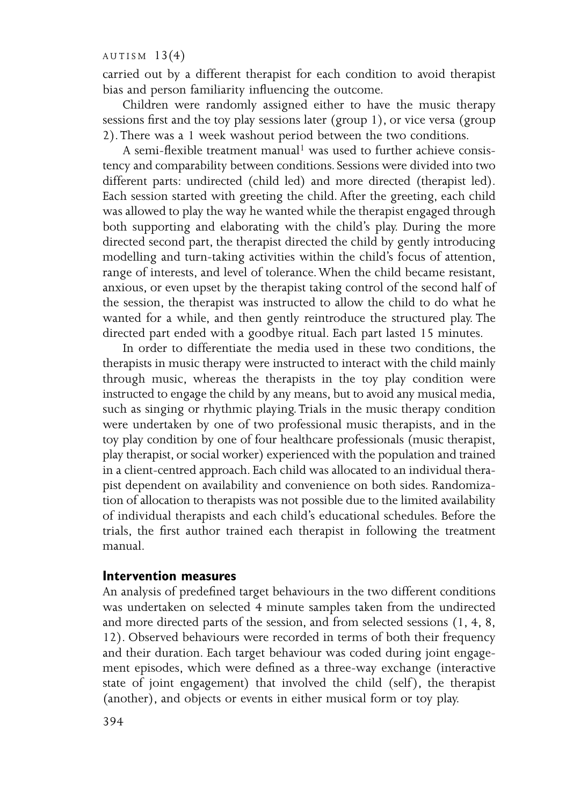carried out by a different therapist for each condition to avoid therapist bias and person familiarity influencing the outcome.

Children were randomly assigned either to have the music therapy sessions first and the toy play sessions later (group 1), or vice versa (group 2). There was a 1 week washout period between the two conditions.

A semi-flexible treatment manual<sup>1</sup> was used to further achieve consistency and comparability between conditions. Sessions were divided into two different parts: undirected (child led) and more directed (therapist led). Each session started with greeting the child. After the greeting, each child was allowed to play the way he wanted while the therapist engaged through both supporting and elaborating with the child's play. During the more directed second part, the therapist directed the child by gently introducing modelling and turn-taking activities within the child's focus of attention, range of interests, and level of tolerance. When the child became resistant, anxious, or even upset by the therapist taking control of the second half of the session, the therapist was instructed to allow the child to do what he wanted for a while, and then gently reintroduce the structured play. The directed part ended with a goodbye ritual. Each part lasted 15 minutes.

In order to differentiate the media used in these two conditions, the therapists in music therapy were instructed to interact with the child mainly through music, whereas the therapists in the toy play condition were instructed to engage the child by any means, but to avoid any musical media, such as singing or rhythmic playing. Trials in the music therapy condition were undertaken by one of two professional music therapists, and in the toy play condition by one of four healthcare professionals (music therapist, play therapist, or social worker) experienced with the population and trained in a client-centred approach. Each child was allocated to an individual therapist dependent on availability and convenience on both sides. Randomization of allocation to therapists was not possible due to the limited availability of individual therapists and each child's educational schedules. Before the trials, the first author trained each therapist in following the treatment manual.

## **Intervention measures**

An analysis of predefined target behaviours in the two different conditions was undertaken on selected 4 minute samples taken from the undirected and more directed parts of the session, and from selected sessions (1, 4, 8, 12). Observed behaviours were recorded in terms of both their frequency and their duration. Each target behaviour was coded during joint engagement episodes, which were defined as a three-way exchange (interactive state of joint engagement) that involved the child (self), the therapist (another), and objects or events in either musical form or toy play.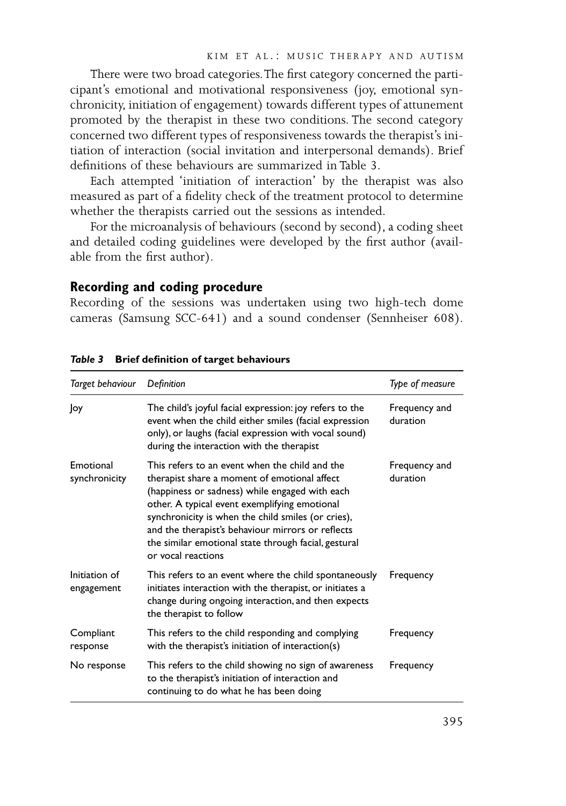There were two broad categories.The first category concerned the participant's emotional and motivational responsiveness (joy, emotional synchronicity, initiation of engagement) towards different types of attunement promoted by the therapist in these two conditions. The second category concerned two different types of responsiveness towards the therapist's initiation of interaction (social invitation and interpersonal demands). Brief definitions of these behaviours are summarized in Table 3.

Each attempted 'initiation of interaction' by the therapist was also measured as part of a fidelity check of the treatment protocol to determine whether the therapists carried out the sessions as intended.

For the microanalysis of behaviours (second by second), a coding sheet and detailed coding guidelines were developed by the first author (available from the first author).

# **Recording and coding procedure**

Recording of the sessions was undertaken using two high-tech dome cameras (Samsung SCC-641) and a sound condenser (Sennheiser 608).

| Target behaviour            | Definition                                                                                                                                                                                                                                                                                                                                                                                 | Type of measure           |
|-----------------------------|--------------------------------------------------------------------------------------------------------------------------------------------------------------------------------------------------------------------------------------------------------------------------------------------------------------------------------------------------------------------------------------------|---------------------------|
| Joy                         | The child's joyful facial expression: joy refers to the<br>event when the child either smiles (facial expression<br>only), or laughs (facial expression with vocal sound)<br>during the interaction with the therapist                                                                                                                                                                     | Frequency and<br>duration |
| Emotional<br>synchronicity  | This refers to an event when the child and the<br>therapist share a moment of emotional affect<br>(happiness or sadness) while engaged with each<br>other. A typical event exemplifying emotional<br>synchronicity is when the child smiles (or cries),<br>and the therapist's behaviour mirrors or reflects<br>the similar emotional state through facial, gestural<br>or vocal reactions | Frequency and<br>duration |
| Initiation of<br>engagement | This refers to an event where the child spontaneously<br>initiates interaction with the therapist, or initiates a<br>change during ongoing interaction, and then expects<br>the therapist to follow                                                                                                                                                                                        | Frequency                 |
| Compliant<br>response       | This refers to the child responding and complying<br>with the therapist's initiation of interaction(s)                                                                                                                                                                                                                                                                                     | Frequency                 |
| No response                 | This refers to the child showing no sign of awareness<br>to the therapist's initiation of interaction and<br>continuing to do what he has been doing                                                                                                                                                                                                                                       | Frequency                 |

## *Table 3* **Brief definition of target behaviours**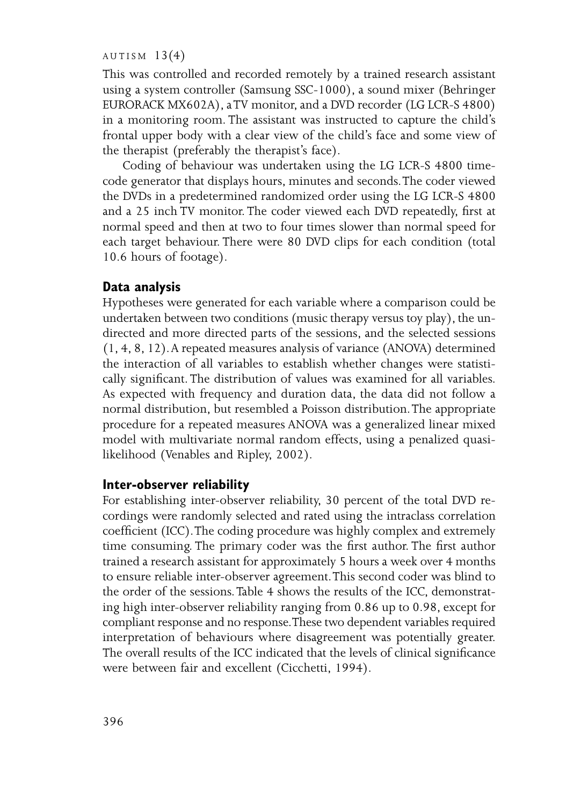This was controlled and recorded remotely by a trained research assistant using a system controller (Samsung SSC-1000), a sound mixer (Behringer EURORACK MX602A), a TV monitor, and a DVD recorder (LG LCR-S 4800) in a monitoring room. The assistant was instructed to capture the child's frontal upper body with a clear view of the child's face and some view of the therapist (preferably the therapist's face).

Coding of behaviour was undertaken using the LG LCR-S 4800 timecode generator that displays hours, minutes and seconds.The coder viewed the DVDs in a predetermined randomized order using the LG LCR-S 4800 and a 25 inch TV monitor. The coder viewed each DVD repeatedly, first at normal speed and then at two to four times slower than normal speed for each target behaviour. There were 80 DVD clips for each condition (total 10.6 hours of footage).

## **Data analysis**

Hypotheses were generated for each variable where a comparison could be undertaken between two conditions (music therapy versus toy play), the undirected and more directed parts of the sessions, and the selected sessions (1, 4, 8, 12).A repeated measures analysis of variance (ANOVA) determined the interaction of all variables to establish whether changes were statistically significant. The distribution of values was examined for all variables. As expected with frequency and duration data, the data did not follow a normal distribution, but resembled a Poisson distribution.The appropriate procedure for a repeated measures ANOVA was a generalized linear mixed model with multivariate normal random effects, using a penalized quasilikelihood (Venables and Ripley, 2002).

## **Inter-observer reliability**

For establishing inter-observer reliability, 30 percent of the total DVD recordings were randomly selected and rated using the intraclass correlation coefficient (ICC).The coding procedure was highly complex and extremely time consuming. The primary coder was the first author. The first author trained a research assistant for approximately 5 hours a week over 4 months to ensure reliable inter-observer agreement.This second coder was blind to the order of the sessions.Table 4 shows the results of the ICC, demonstrating high inter-observer reliability ranging from 0.86 up to 0.98, except for compliant response and no response.These two dependent variables required interpretation of behaviours where disagreement was potentially greater. The overall results of the ICC indicated that the levels of clinical significance were between fair and excellent (Cicchetti, 1994).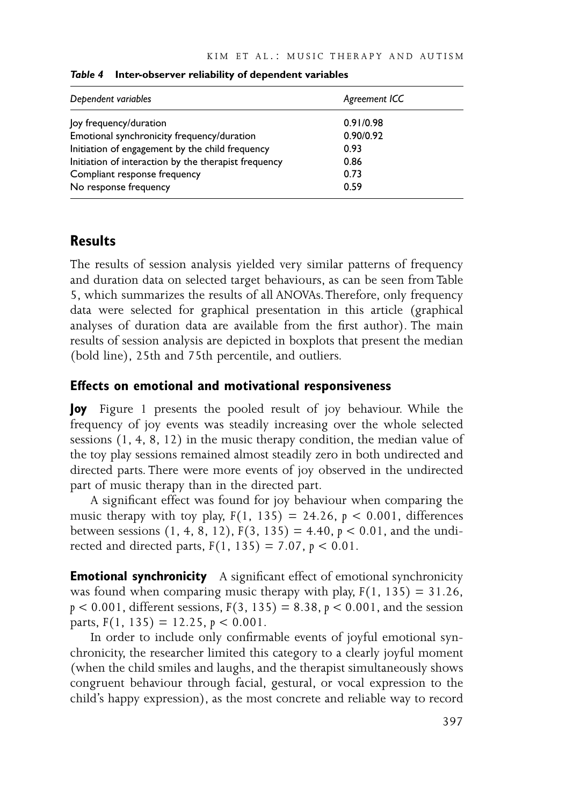| Dependent variables                                  | Agreement ICC |
|------------------------------------------------------|---------------|
| loy frequency/duration                               | 0.91/0.98     |
| Emotional synchronicity frequency/duration           | 0.90/0.92     |
| Initiation of engagement by the child frequency      | 0.93          |
| Initiation of interaction by the therapist frequency | 0.86          |
| Compliant response frequency                         | 0.73          |
| No response frequency                                | 0.59          |

*Table 4* **Inter-observer reliability of dependent variables**

# **Results**

The results of session analysis yielded very similar patterns of frequency and duration data on selected target behaviours, as can be seen from Table 5, which summarizes the results of all ANOVAs.Therefore, only frequency data were selected for graphical presentation in this article (graphical analyses of duration data are available from the first author). The main results of session analysis are depicted in boxplots that present the median (bold line), 25th and 75th percentile, and outliers.

## **Effects on emotional and motivational responsiveness**

**Joy** Figure 1 presents the pooled result of joy behaviour. While the frequency of joy events was steadily increasing over the whole selected sessions (1, 4, 8, 12) in the music therapy condition, the median value of the toy play sessions remained almost steadily zero in both undirected and directed parts. There were more events of joy observed in the undirected part of music therapy than in the directed part.

A significant effect was found for joy behaviour when comparing the music therapy with toy play,  $F(1, 135) = 24.26$ ,  $p < 0.001$ , differences between sessions (1, 4, 8, 12), *F*(3, 135) = 4.40, *p* < 0.01, and the undirected and directed parts, *F*(1, 135) = 7.07, *p* < 0.01.

**Emotional synchronicity** A significant effect of emotional synchronicity was found when comparing music therapy with play,  $F(1, 135) = 31.26$ , *p* < 0.001, different sessions, *F*(3, 135) = 8.38, *p* < 0.001, and the session parts,  $F(1, 135) = 12.25$ ,  $p < 0.001$ .

In order to include only confirmable events of joyful emotional synchronicity, the researcher limited this category to a clearly joyful moment (when the child smiles and laughs, and the therapist simultaneously shows congruent behaviour through facial, gestural, or vocal expression to the child's happy expression), as the most concrete and reliable way to record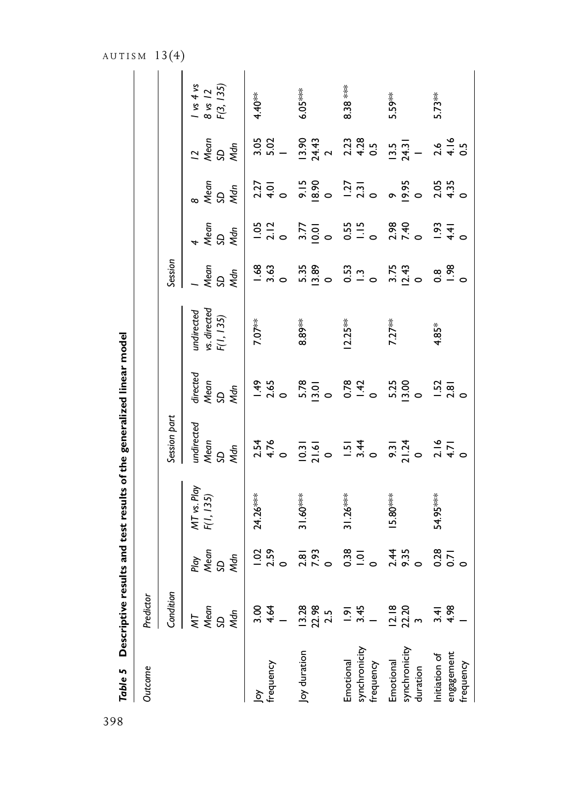| Outcome                                  | Predictor                       |                                                 |                          |                                                                                                                              |                                                                                             |                                         |                                                                                                                                                                                                                                                                       |                                                                                                                                                                                                                                                                                                                     |                                                                                                                                                                                                                                                                                |                                                                                                                                                                                                                                                                              |                                                                                                              |
|------------------------------------------|---------------------------------|-------------------------------------------------|--------------------------|------------------------------------------------------------------------------------------------------------------------------|---------------------------------------------------------------------------------------------|-----------------------------------------|-----------------------------------------------------------------------------------------------------------------------------------------------------------------------------------------------------------------------------------------------------------------------|---------------------------------------------------------------------------------------------------------------------------------------------------------------------------------------------------------------------------------------------------------------------------------------------------------------------|--------------------------------------------------------------------------------------------------------------------------------------------------------------------------------------------------------------------------------------------------------------------------------|------------------------------------------------------------------------------------------------------------------------------------------------------------------------------------------------------------------------------------------------------------------------------|--------------------------------------------------------------------------------------------------------------|
|                                          | Condition                       |                                                 |                          | Session part                                                                                                                 |                                                                                             |                                         | session                                                                                                                                                                                                                                                               |                                                                                                                                                                                                                                                                                                                     |                                                                                                                                                                                                                                                                                |                                                                                                                                                                                                                                                                              |                                                                                                              |
|                                          | Mean<br>SD<br>Mdn<br>ξ          | <sup>ਮੈਡਾ</sup><br>ਪੈ <sup>ਡਿਜ਼</sup><br>ਮੈਡੀ   | MT vs. Play<br>F(1, 135) | undirected<br>Mean<br>SD<br>Mdn                                                                                              | $\begin{array}{c} \text{directed} \\ \text{Mean} \\ \text{SD} \\ \text{Mdn} \\ \end{array}$ | undirected<br>vs. directed<br>F(1, 135) | l<br>Mean<br>Mdn<br>Mdn                                                                                                                                                                                                                                               | $\frac{4}{100}$                                                                                                                                                                                                                                                                                                     |                                                                                                                                                                                                                                                                                | $\begin{array}{ccc} 2 \times 50 & 50 & 0.000 & 0.000 & 0.000 & 0.000 & 0.000 & 0.000 & 0.000 & 0.000 & 0.000 & 0.000 & 0.000 & 0.000 & 0.000 & 0.000 & 0.000 & 0.000 & 0.000 & 0.000 & 0.000 & 0.000 & 0.000 & 0.000 & 0.000 & 0.000 & 0.000 & 0.000 & 0.000 & 0.000 & 0.00$ | $\begin{array}{c c}\n 1 & 4 & 4 \\  8 & 1 & 1 \\  1 & 3 & 5\n\end{array}$<br>F(3, 135)<br>4.40 <sup>**</sup> |
| requency<br>$\delta$                     | 3.00<br>4.64                    | $\frac{0}{2}$ 59<br>$-0$                        | $24.26***$               |                                                                                                                              |                                                                                             | $7.07***$                               |                                                                                                                                                                                                                                                                       |                                                                                                                                                                                                                                                                                                                     |                                                                                                                                                                                                                                                                                |                                                                                                                                                                                                                                                                              |                                                                                                              |
| Joy duration                             | 13.28<br>22.98                  | $\frac{2}{2}$<br>$\frac{3}{2}$<br>$\frac{3}{2}$ | $31.60***$               | $740$ $-310$ $-310$ $-310$ $-310$ $-310$ $-310$ $-310$ $-310$ $-310$ $-310$ $-310$ $-310$ $-310$ $-310$ $-310$ $-310$ $-310$ |                                                                                             | $8.89**$                                | $\begin{matrix} 1.63 & 0.000 & 0.000 & 0.000 & 0.000 & 0.000 & 0.000 & 0.000 & 0.000 & 0.000 & 0.000 & 0.000 & 0.000 & 0.000 & 0.000 & 0.000 & 0.000 & 0.000 & 0.000 & 0.000 & 0.000 & 0.000 & 0.000 & 0.000 & 0.000 & 0.000 & 0.000 & 0.000 & 0.000 & 0.000 & 0.000$ | $\frac{1}{2}$ $\frac{1}{2}$ $\frac{1}{2}$ $\frac{1}{2}$ $\frac{1}{2}$ $\frac{1}{2}$ $\frac{1}{2}$ $\frac{1}{2}$ $\frac{1}{2}$ $\frac{1}{2}$ $\frac{1}{2}$ $\frac{1}{2}$ $\frac{1}{2}$ $\frac{1}{2}$ $\frac{1}{2}$ $\frac{1}{2}$ $\frac{1}{2}$ $\frac{1}{2}$ $\frac{1}{2}$ $\frac{1}{2}$ $\frac{1}{2}$ $\frac{1}{2}$ | $270$<br>$40$ $-6$ $-6$ $-7$<br>$-70$ $-7$<br>$-70$ $-8$ $-7$<br>$-70$ $-8$ $-8$<br>$-70$ $-8$<br>$-70$ $-8$<br>$-70$ $-7$<br>$-70$<br>$-70$<br>$-70$<br>$-70$<br>$-70$<br>$-70$<br>$-70$<br>$-70$<br>$-70$<br>$-70$<br>$-70$<br>$-70$<br>$-70$<br>$-70$<br>$-70$<br>$-70$<br> |                                                                                                                                                                                                                                                                              | $6.05***$                                                                                                    |
| synchronicity<br>Emotional<br>frequency  | $\frac{5}{3}$<br>$\frac{45}{9}$ | $30 - 6$                                        | $31.26***$               |                                                                                                                              |                                                                                             | $12.25***$                              |                                                                                                                                                                                                                                                                       |                                                                                                                                                                                                                                                                                                                     |                                                                                                                                                                                                                                                                                |                                                                                                                                                                                                                                                                              | $8.38***$                                                                                                    |
| Emotional<br>synchronicity<br>duration   | $12.18$<br>$22.20$<br>$3$       | $24.35$<br>$0.5$                                | $15.80***$               |                                                                                                                              |                                                                                             | $7.27**$                                |                                                                                                                                                                                                                                                                       |                                                                                                                                                                                                                                                                                                                     |                                                                                                                                                                                                                                                                                |                                                                                                                                                                                                                                                                              | 5.59**                                                                                                       |
| engagement<br>Initiation of<br>frequency | $3.4$<br>4.98                   | $0.71$<br>$0.71$                                | 54.95 ***                |                                                                                                                              |                                                                                             | 4.85*                                   |                                                                                                                                                                                                                                                                       |                                                                                                                                                                                                                                                                                                                     |                                                                                                                                                                                                                                                                                | $24.5$<br>$24.5$                                                                                                                                                                                                                                                             | $5.73**$                                                                                                     |

398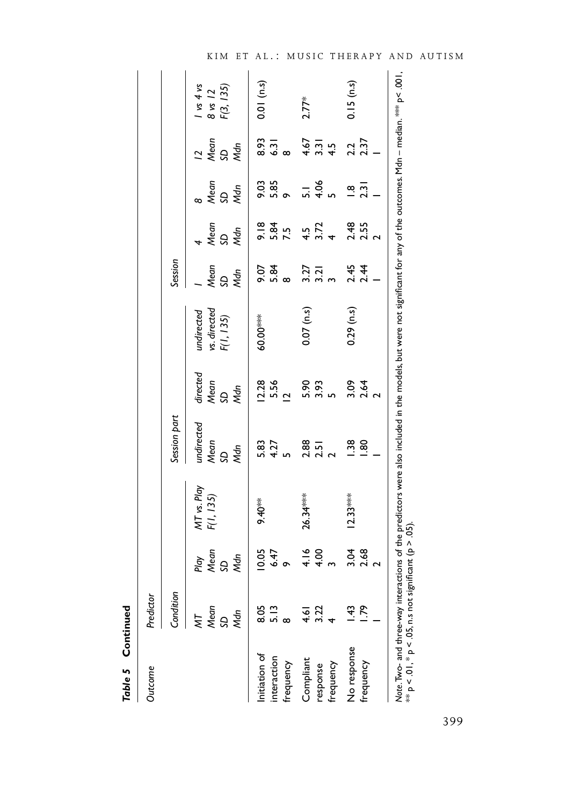|              | Condition               |                        |                          | Session part      |                                |                           | Session                         |                          |                             |                           |                                   |
|--------------|-------------------------|------------------------|--------------------------|-------------------|--------------------------------|---------------------------|---------------------------------|--------------------------|-----------------------------|---------------------------|-----------------------------------|
|              |                         |                        |                          | undirected        |                                | undirected                |                                 |                          |                             |                           |                                   |
|              |                         | គ<br>កំនុំ មិ<br>កំនុង | MT vs. Play<br>F(1, 135) | Nean<br>Sa<br>Mah | directed<br>Mean<br>Mdn<br>Mdn | vs. directed<br>F(1, 135) | Mean<br>SD<br>Ma <sup>t</sup> n | 4 ន័ ម<br>4 ត្តប<br>4    | ៓<br>៙<br>៙<br>ៜ ឨ          |                           | 1 vs 4 vs<br>8 vs 12<br>F(3, 135) |
|              | Mean<br>SD              |                        |                          |                   |                                |                           |                                 |                          |                             |                           |                                   |
|              | Ха∱                     |                        |                          |                   |                                |                           |                                 |                          |                             |                           |                                   |
| nitiation of |                         |                        | $9.40**$                 |                   |                                | $60.00***$                |                                 |                          |                             |                           | $0.01$ (n.s)                      |
| teraction    | 8. 13<br>8. 13<br>8. 13 | $\frac{10.05}{6.47}$   |                          | 5.83<br>4.27      | I2.28<br>5.56                  |                           | 9.84                            | 9. 84<br>5. 84<br>7. 5   | ၁ ၂<br>၁ ၂၀<br>၁ ၂၀         | 8.93                      |                                   |
| requency     |                         |                        |                          | $\overline{5}$    | $\overline{a}$                 |                           |                                 |                          |                             |                           |                                   |
| Compliant    |                         |                        | $26.34***$               |                   |                                | $0.07$ (n.s)              |                                 |                          |                             |                           | $2.77*$                           |
| esponse      | $4.61$<br>3.22          | 4.00                   |                          | 2.88<br>2.51      | 5, 97<br>5, 97<br>5, 97        |                           | 3.27<br>3.21<br>3               | $4.5$<br>$7.72$<br>$4.7$ | $-8$<br>$-40$               | $4.57$<br>$-3.31$<br>$+5$ |                                   |
| requency     |                         | $\overline{3}$         |                          | $\overline{a}$    |                                |                           |                                 |                          |                             |                           |                                   |
| No response  | $\ddot{=}$              |                        | $12.33***$               |                   |                                | $0.29$ (n.s)              |                                 |                          |                             |                           | $0.15$ (n.s)                      |
| requency     | <b>1.79</b>             | 3.38<br>3.30<br>3.21   |                          | $\frac{38}{1.80}$ | 3.04<br>2.4<br>2.2             |                           | 2.45<br>2.44                    | 2.48<br>2.55             | $\frac{8}{2}$ $\frac{2}{3}$ | 2.37                      |                                   |
|              |                         |                        |                          |                   |                                |                           |                                 |                          |                             |                           |                                   |

Table 5 Continued

*Table 5* **Continued**

\*\*\*  $p < .01$ , \*  $p < .05$ , n.s not significant ( $p > .05$ ).  $^{**}$  p < .01,  $^*$  p < .05, n.s not significant (p > .05).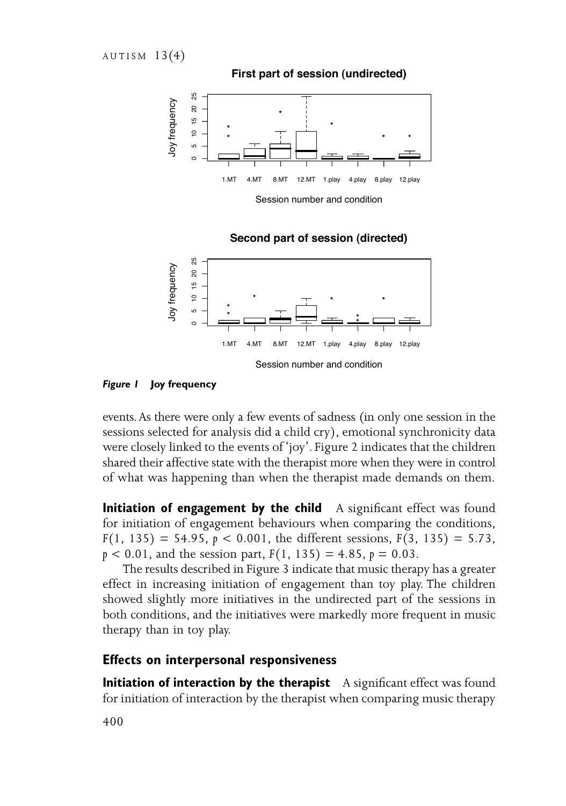**First part of session (undirected)**



Session number and condition

**Second part of session (directed)**



*Figure 1* **Joy frequency**

events.As there were only a few events of sadness (in only one session in the sessions selected for analysis did a child cry), emotional synchronicity data were closely linked to the events of 'joy'. Figure 2 indicates that the children shared their affective state with the therapist more when they were in control of what was happening than when the therapist made demands on them.

**Initiation of engagement by the child** A significant effect was found for initiation of engagement behaviours when comparing the conditions,  $F(1, 135) = 54.95$ ,  $p < 0.001$ , the different sessions,  $F(3, 135) = 5.73$ , *p* < 0.01, and the session part, *F*(1, 135) = 4.85, *p* = 0.03.

The results described in Figure 3 indicate that music therapy has a greater effect in increasing initiation of engagement than toy play. The children showed slightly more initiatives in the undirected part of the sessions in both conditions, and the initiatives were markedly more frequent in music therapy than in toy play.

# **Effects on interpersonal responsiveness**

**Initiation of interaction by the therapist** A significant effect was found for initiation of interaction by the therapist when comparing music therapy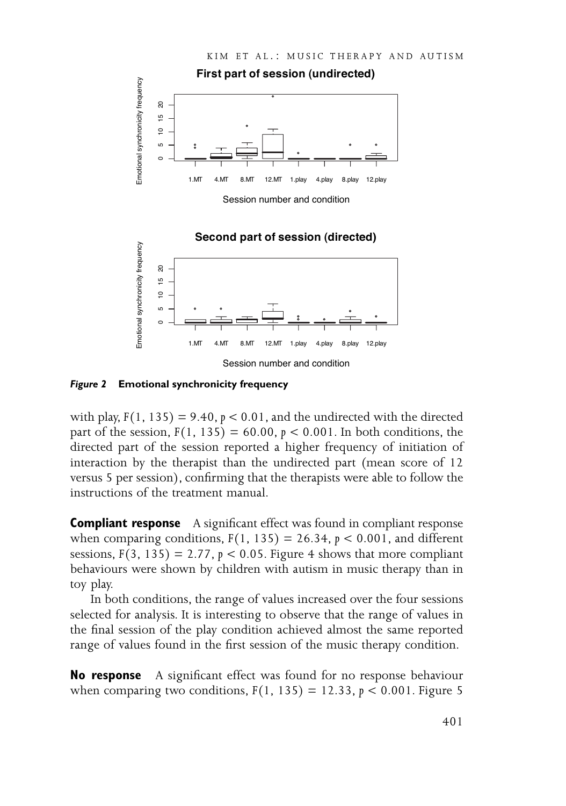

Session number and condition



*Figure 2* **Emotional synchronicity frequency**

with play,  $F(1, 135) = 9.40$ ,  $p < 0.01$ , and the undirected with the directed part of the session,  $F(1, 135) = 60.00$ ,  $p < 0.001$ . In both conditions, the directed part of the session reported a higher frequency of initiation of interaction by the therapist than the undirected part (mean score of 12 versus 5 per session), confirming that the therapists were able to follow the instructions of the treatment manual.

**Compliant response** A significant effect was found in compliant response when comparing conditions,  $F(1, 135) = 26.34$ ,  $p < 0.001$ , and different sessions,  $F(3, 135) = 2.77$ ,  $p < 0.05$ . Figure 4 shows that more compliant behaviours were shown by children with autism in music therapy than in toy play.

In both conditions, the range of values increased over the four sessions selected for analysis. It is interesting to observe that the range of values in the final session of the play condition achieved almost the same reported range of values found in the first session of the music therapy condition.

**No response** A significant effect was found for no response behaviour when comparing two conditions,  $F(1, 135) = 12.33$ ,  $p < 0.001$ . Figure 5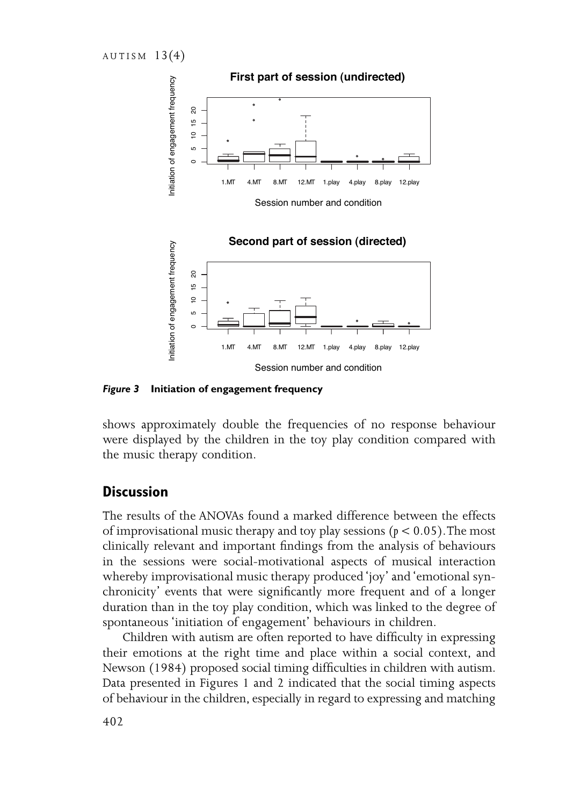

*Figure 3* **Initiation of engagement frequency**

shows approximately double the frequencies of no response behaviour were displayed by the children in the toy play condition compared with the music therapy condition.

# **Discussion**

The results of the ANOVAs found a marked difference between the effects of improvisational music therapy and toy play sessions (*p* < 0.05).The most clinically relevant and important findings from the analysis of behaviours in the sessions were social-motivational aspects of musical interaction whereby improvisational music therapy produced 'joy' and 'emotional synchronicity' events that were significantly more frequent and of a longer duration than in the toy play condition, which was linked to the degree of spontaneous 'initiation of engagement' behaviours in children.

Children with autism are often reported to have difficulty in expressing their emotions at the right time and place within a social context, and Newson (1984) proposed social timing difficulties in children with autism. Data presented in Figures 1 and 2 indicated that the social timing aspects of behaviour in the children, especially in regard to expressing and matching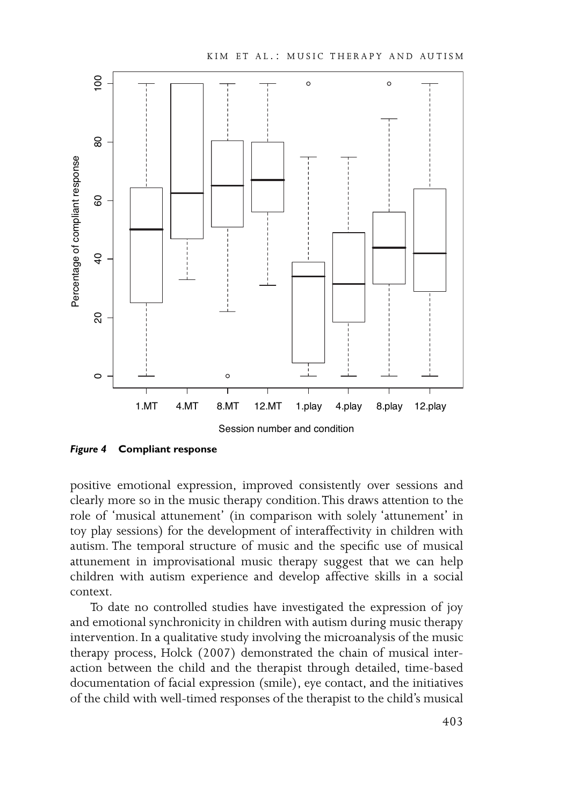

*Figure 4* **Compliant response**

positive emotional expression, improved consistently over sessions and clearly more so in the music therapy condition.This draws attention to the role of 'musical attunement' (in comparison with solely 'attunement' in toy play sessions) for the development of interaffectivity in children with autism. The temporal structure of music and the specific use of musical attunement in improvisational music therapy suggest that we can help children with autism experience and develop affective skills in a social context.

To date no controlled studies have investigated the expression of joy and emotional synchronicity in children with autism during music therapy intervention. In a qualitative study involving the microanalysis of the music therapy process, Holck (2007) demonstrated the chain of musical interaction between the child and the therapist through detailed, time-based documentation of facial expression (smile), eye contact, and the initiatives of the child with well-timed responses of the therapist to the child's musical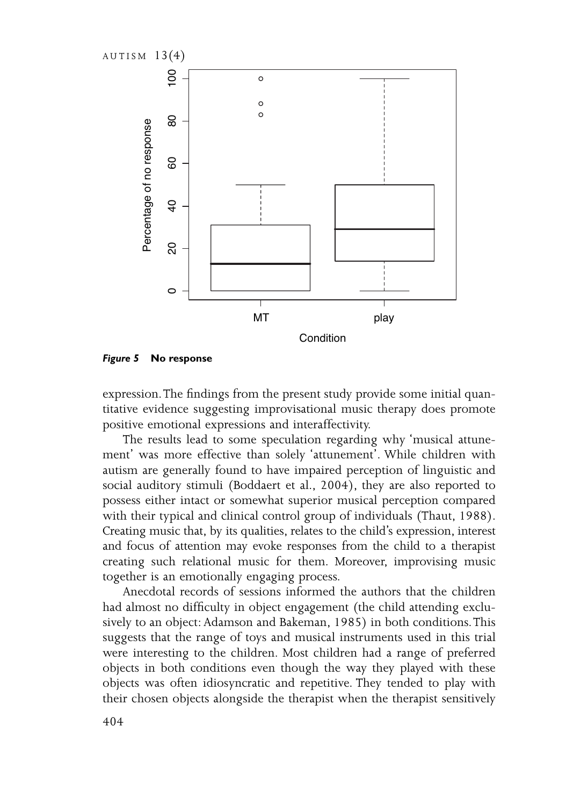

*Figure 5* **No response**

expression.The findings from the present study provide some initial quantitative evidence suggesting improvisational music therapy does promote positive emotional expressions and interaffectivity.

The results lead to some speculation regarding why 'musical attunement' was more effective than solely 'attunement'. While children with autism are generally found to have impaired perception of linguistic and social auditory stimuli (Boddaert et al., 2004), they are also reported to possess either intact or somewhat superior musical perception compared with their typical and clinical control group of individuals (Thaut, 1988). Creating music that, by its qualities, relates to the child's expression, interest and focus of attention may evoke responses from the child to a therapist creating such relational music for them. Moreover, improvising music together is an emotionally engaging process.

Anecdotal records of sessions informed the authors that the children had almost no difficulty in object engagement (the child attending exclusively to an object: Adamson and Bakeman, 1985) in both conditions.This suggests that the range of toys and musical instruments used in this trial were interesting to the children. Most children had a range of preferred objects in both conditions even though the way they played with these objects was often idiosyncratic and repetitive. They tended to play with their chosen objects alongside the therapist when the therapist sensitively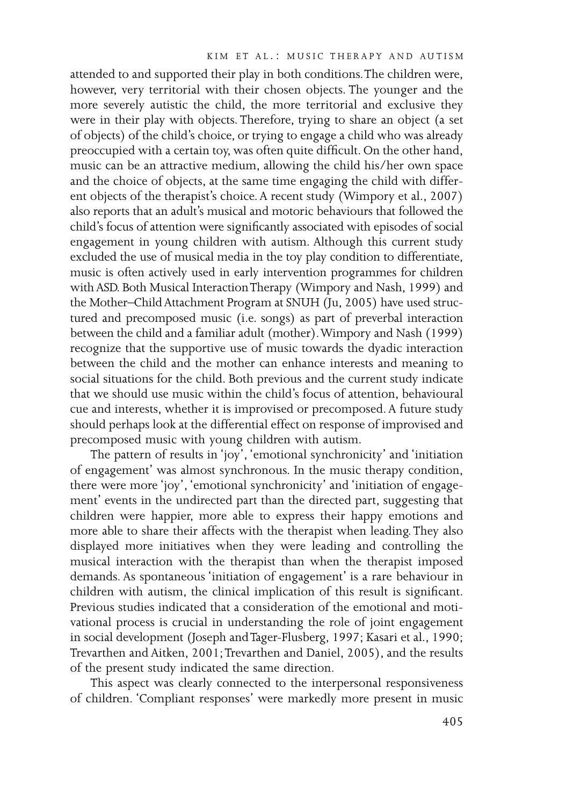attended to and supported their play in both conditions.The children were, however, very territorial with their chosen objects. The younger and the more severely autistic the child, the more territorial and exclusive they were in their play with objects. Therefore, trying to share an object (a set of objects) of the child's choice, or trying to engage a child who was already preoccupied with a certain toy, was often quite difficult. On the other hand, music can be an attractive medium, allowing the child his/her own space and the choice of objects, at the same time engaging the child with different objects of the therapist's choice. A recent study (Wimpory et al., 2007) also reports that an adult's musical and motoric behaviours that followed the child's focus of attention were significantly associated with episodes of social engagement in young children with autism. Although this current study excluded the use of musical media in the toy play condition to differentiate, music is often actively used in early intervention programmes for children with ASD. Both Musical Interaction Therapy (Wimpory and Nash, 1999) and the Mother–Child Attachment Program at SNUH (Ju, 2005) have used structured and precomposed music (i.e. songs) as part of preverbal interaction between the child and a familiar adult (mother).Wimpory and Nash (1999) recognize that the supportive use of music towards the dyadic interaction between the child and the mother can enhance interests and meaning to social situations for the child. Both previous and the current study indicate that we should use music within the child's focus of attention, behavioural cue and interests, whether it is improvised or precomposed. A future study should perhaps look at the differential effect on response of improvised and precomposed music with young children with autism.

The pattern of results in 'joy', 'emotional synchronicity' and 'initiation of engagement' was almost synchronous. In the music therapy condition, there were more 'joy', 'emotional synchronicity' and 'initiation of engagement' events in the undirected part than the directed part, suggesting that children were happier, more able to express their happy emotions and more able to share their affects with the therapist when leading. They also displayed more initiatives when they were leading and controlling the musical interaction with the therapist than when the therapist imposed demands. As spontaneous 'initiation of engagement' is a rare behaviour in children with autism, the clinical implication of this result is significant. Previous studies indicated that a consideration of the emotional and motivational process is crucial in understanding the role of joint engagement in social development (Joseph and Tager-Flusberg, 1997; Kasari et al., 1990; Trevarthen and Aitken, 2001;Trevarthen and Daniel, 2005), and the results of the present study indicated the same direction.

This aspect was clearly connected to the interpersonal responsiveness of children. 'Compliant responses' were markedly more present in music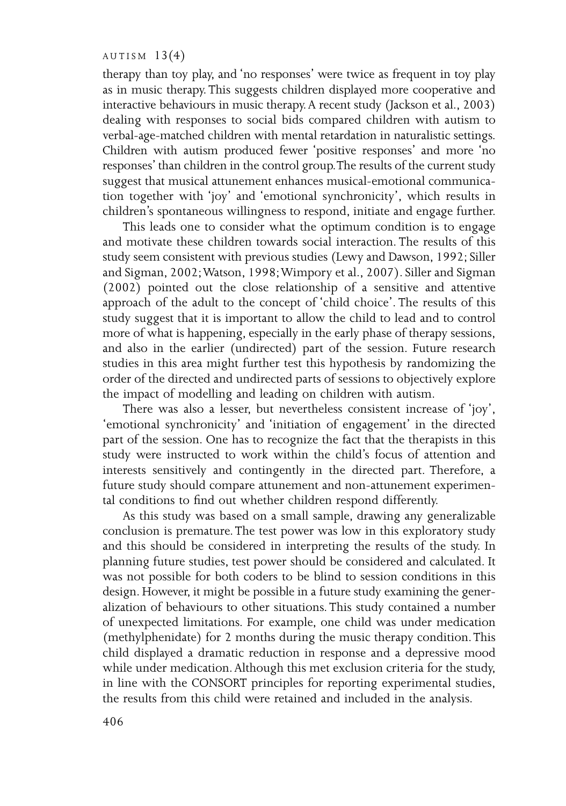therapy than toy play, and 'no responses' were twice as frequent in toy play as in music therapy. This suggests children displayed more cooperative and interactive behaviours in music therapy.A recent study (Jackson et al., 2003) dealing with responses to social bids compared children with autism to verbal-age-matched children with mental retardation in naturalistic settings. Children with autism produced fewer 'positive responses' and more 'no responses' than children in the control group.The results of the current study suggest that musical attunement enhances musical-emotional communication together with 'joy' and 'emotional synchronicity', which results in children's spontaneous willingness to respond, initiate and engage further.

This leads one to consider what the optimum condition is to engage and motivate these children towards social interaction. The results of this study seem consistent with previous studies (Lewy and Dawson, 1992; Siller and Sigman, 2002;Watson, 1998;Wimpory et al., 2007). Siller and Sigman (2002) pointed out the close relationship of a sensitive and attentive approach of the adult to the concept of 'child choice'. The results of this study suggest that it is important to allow the child to lead and to control more of what is happening, especially in the early phase of therapy sessions, and also in the earlier (undirected) part of the session. Future research studies in this area might further test this hypothesis by randomizing the order of the directed and undirected parts of sessions to objectively explore the impact of modelling and leading on children with autism.

There was also a lesser, but nevertheless consistent increase of 'joy', 'emotional synchronicity' and 'initiation of engagement' in the directed part of the session. One has to recognize the fact that the therapists in this study were instructed to work within the child's focus of attention and interests sensitively and contingently in the directed part. Therefore, a future study should compare attunement and non-attunement experimental conditions to find out whether children respond differently.

As this study was based on a small sample, drawing any generalizable conclusion is premature. The test power was low in this exploratory study and this should be considered in interpreting the results of the study. In planning future studies, test power should be considered and calculated. It was not possible for both coders to be blind to session conditions in this design. However, it might be possible in a future study examining the generalization of behaviours to other situations. This study contained a number of unexpected limitations. For example, one child was under medication (methylphenidate) for 2 months during the music therapy condition.This child displayed a dramatic reduction in response and a depressive mood while under medication. Although this met exclusion criteria for the study, in line with the CONSORT principles for reporting experimental studies, the results from this child were retained and included in the analysis.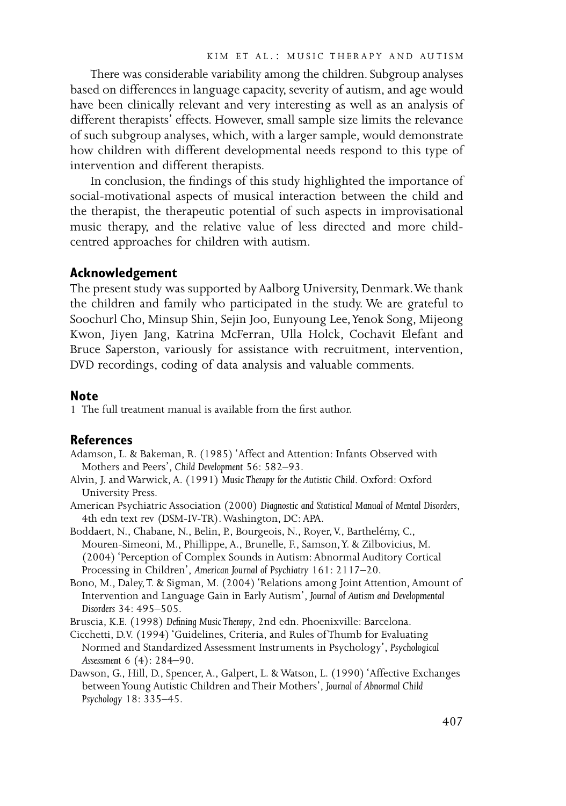There was considerable variability among the children. Subgroup analyses based on differences in language capacity, severity of autism, and age would have been clinically relevant and very interesting as well as an analysis of different therapists' effects. However, small sample size limits the relevance of such subgroup analyses, which, with a larger sample, would demonstrate how children with different developmental needs respond to this type of intervention and different therapists.

In conclusion, the findings of this study highlighted the importance of social-motivational aspects of musical interaction between the child and the therapist, the therapeutic potential of such aspects in improvisational music therapy, and the relative value of less directed and more childcentred approaches for children with autism.

## **Acknowledgement**

The present study was supported by Aalborg University, Denmark.We thank the children and family who participated in the study. We are grateful to Soochurl Cho, Minsup Shin, Sejin Joo, Eunyoung Lee,Yenok Song, Mijeong Kwon, Jiyen Jang, Katrina McFerran, Ulla Holck, Cochavit Elefant and Bruce Saperston, variously for assistance with recruitment, intervention, DVD recordings, coding of data analysis and valuable comments.

#### **Note**

1 The full treatment manual is available from the first author.

#### **References**

- Adamson, L. & Bakeman, R. (1985) 'Affect and Attention: Infants Observed with Mothers and Peers', *Child Development* 56: 582–93.
- Alvin, J. and Warwick, A. (1991) *Music Therapy for the Autistic Child*. Oxford: Oxford University Press.
- American Psychiatric Association (2000) *Diagnostic and Statistical Manual of Mental Disorders*, 4th edn text rev (DSM-IV-TR).Washington, DC: APA.
- Boddaert, N., Chabane, N., Belin, P., Bourgeois, N., Royer,V., Barthelémy, C., Mouren-Simeoni, M., Phillippe, A., Brunelle, F., Samson,Y. & Zilbovicius, M. (2004) 'Perception of Complex Sounds in Autism: Abnormal Auditory Cortical Processing in Children', *American Journal of Psychiatry* 161: 2117–20.
- Bono, M., Daley,T. & Sigman, M. (2004) 'Relations among Joint Attention, Amount of Intervention and Language Gain in Early Autism', *Journal of Autism and Developmental Disorders* 34: 495–505.
- Bruscia, K.E. (1998) *Defining Music Therapy*, 2nd edn. Phoenixville: Barcelona.
- Cicchetti, D.V. (1994) 'Guidelines, Criteria, and Rules of Thumb for Evaluating Normed and Standardized Assessment Instruments in Psychology', *Psychological Assessment* 6 (4): 284–90.
- Dawson, G., Hill, D., Spencer, A., Galpert, L. & Watson, L. (1990) 'Affective Exchanges between Young Autistic Children and Their Mothers', *Journal of Abnormal Child Psychology* 18: 335–45.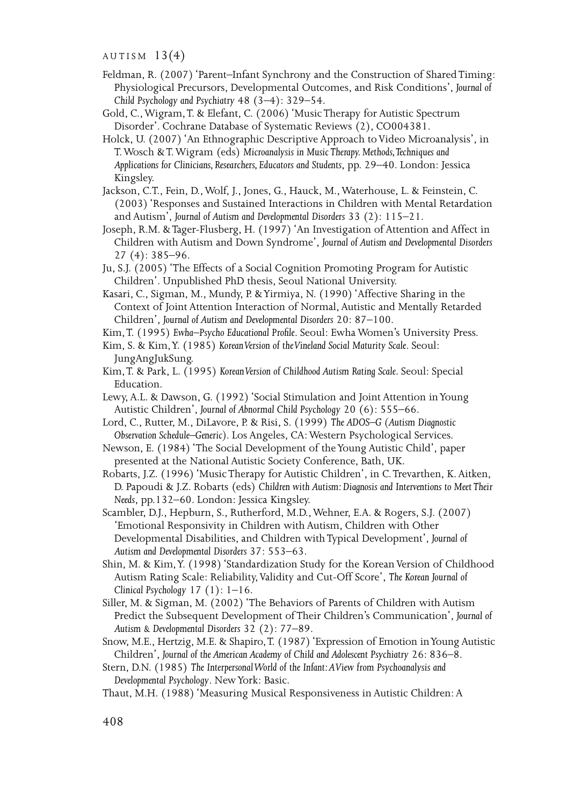- Feldman, R. (2007) 'Parent–Infant Synchrony and the Construction of Shared Timing: Physiological Precursors, Developmental Outcomes, and Risk Conditions', *Journal of Child Psychology and Psychiatry* 48 (3–4): 329–54.
- Gold, C.,Wigram,T. & Elefant, C. (2006) 'Music Therapy for Autistic Spectrum Disorder'. Cochrane Database of Systematic Reviews (2), CO004381.
- Holck, U. (2007) 'An Ethnographic Descriptive Approach to Video Microanalysis', in T.Wosch & T.Wigram (eds) *Microanalysis in Music Therapy. Methods,Techniques and Applications for Clinicians, Researchers, Educators and Students*, pp. 29–40. London: Jessica Kingsley.
- Jackson, C.T., Fein, D., Wolf, J., Jones, G., Hauck, M., Waterhouse, L. & Feinstein, C. (2003) 'Responses and Sustained Interactions in Children with Mental Retardation and Autism', *Journal of Autism and Developmental Disorders* 33 (2): 115–21.
- Joseph, R.M. & Tager-Flusberg, H. (1997) 'An Investigation of Attention and Affect in Children with Autism and Down Syndrome', *Journal of Autism and Developmental Disorders* 27 (4): 385–96.
- Ju, S.J. (2005) 'The Effects of a Social Cognition Promoting Program for Autistic Children'. Unpublished PhD thesis, Seoul National University.
- Kasari, C., Sigman, M., Mundy, P. & Yirmiya, N. (1990) 'Affective Sharing in the Context of Joint Attention Interaction of Normal, Autistic and Mentally Retarded Children', *Journal of Autism and Developmental Disorders* 20: 87–100.
- Kim,T. (1995) *Ewha–Psycho Educational Profile*. Seoul: Ewha Women's University Press.
- Kim, S. & Kim,Y. (1985) *Korean Version of the Vineland Social Maturity Scale*. Seoul: JungAngJukSung.
- Kim,T. & Park, L. (1995) *Korean Version of Childhood Autism Rating Scale*. Seoul: Special Education.
- Lewy, A.L. & Dawson, G. (1992) 'Social Stimulation and Joint Attention in Young Autistic Children', *Journal of Abnormal Child Psychology* 20 (6): 555–66.
- Lord, C., Rutter, M., DiLavore, P. & Risi, S. (1999) *The ADOS–G (Autism Diagnostic Observation Schedule–Generic)*. Los Angeles, CA:Western Psychological Services.
- Newson, E. (1984) 'The Social Development of the Young Autistic Child', paper presented at the National Autistic Society Conference, Bath, UK.
- Robarts, J.Z. (1996) 'Music Therapy for Autistic Children', in C.Trevarthen, K. Aitken, D. Papoudi & J.Z. Robarts (eds) *Children with Autism: Diagnosis and Interventions to Meet Their Needs*, pp.132–60. London: Jessica Kingsley.
- Scambler, D.J., Hepburn, S., Rutherford, M.D., Wehner, E.A. & Rogers, S.J. (2007) 'Emotional Responsivity in Children with Autism, Children with Other Developmental Disabilities, and Children with Typical Development', *Journal of Autism and Developmental Disorders* 37: 553–63.
- Shin, M. & Kim,Y. (1998) 'Standardization Study for the Korean Version of Childhood Autism Rating Scale: Reliability,Validity and Cut-Off Score', *The Korean Journal of Clinical Psychology* 17 (1): 1–16.
- Siller, M. & Sigman, M. (2002) 'The Behaviors of Parents of Children with Autism Predict the Subsequent Development of Their Children's Communication', *Journal of Autism & Developmental Disorders* 32 (2): 77–89.
- Snow, M.E., Hertzig, M.E. & Shapiro,T. (1987) 'Expression of Emotion in Young Autistic Children', *Journal of the American Academy of Child and Adolescent Psychiatry* 26: 836–8.
- Stern, D.N. (1985) *The Interpersonal World of the Infant:A View from Psychoanalysis and Developmental Psychology*. New York: Basic.
- Thaut, M.H. (1988) 'Measuring Musical Responsiveness in Autistic Children: A